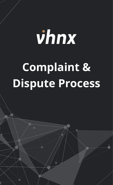## vhnx **Complaint & Dispute Process**

The final market and its leveraged products are complex instruments that complex instruments  $\mathcal{L}$  $\mathcal{N}$  of trading accounts lose investments when using leveraged products. You should not invest more than  $\mathcal{N}$ prepared to lose. Considering your market experience and knowledge is very important before using our services. By using the

services of VHNX.com, you affine with the terms agreement with the terms and accept all the risks involved.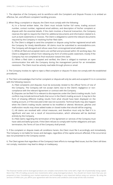1. The objective of the Company and its workforce with the Complaint and Dispute Process is to embed an effective, fair, and efficient complaint handling process.

2. When filing a complaint or dispute, the Client must comply with the following:

A.) In a formal written letter, the Client must include his/her full name, trading account number, contact number, registered email address, and description of his/her complaint or dispute with the essential details. If the claim involves a financial transaction, the Company reserves the right to require the Client for additional documents and information related to it, such as bank statements or invoices. The Client is obligated to submit the relevant documents required by the Company in resolving his/her filed claim.

B.) The Client is obliged to send the complaint or dispute using his/her registered email with the Company for timely identification. All claims must be submitted to services@vhnx.com. The Company will disregard and refuse cases from unrecognized email addresses.

C.) While all filed and accepted claims are verified and processed within 30 working days, the Client is obligated to refrain from releasing any form of online public statement, mostly if the Company has not completed its final resolution toward the claim.

D.) When a filed claim is accepted and verified, the Client is obliged to maintain an open communication line with the Company during the management period for an immediate resolution. The Client must be actively reachable through phone or email.

3. The Company invokes its right to reject a filed complaint or dispute if it does not comply with the established procedures.

4. The Client acknowledges that his/her complaint or dispute will only be valid and accepted if it is in connection with the following reasons:

A.) Filed complaints and disputes must be exclusively related to the official Terms of Use of the Company. The Company will not accept claims due to the Client's negligence or noncompliance with the relevant Agreement or contract with the Company.

B.) Disputes can be filed if it is relevant to discrepancies under the Client's trading results. Such conflicts may include technical faults that occur in the Client's trading account. It may be in the form of showing different trading results from what should have been displayed on the trading account, or if the executed order was not successful. Technical faults may also happen when the Client's trading results seemed to be modified or altered. Moreover, glitches and malfunction results may show added trades or closed trades that should still be ongoing.

C.) All claims are resolved with critical measures, and therefore must only be filed if it is significant and was not a result of miscommunication, which otherwise will be declined entirely by the Company.

D.) Filed claims regarding the termination of the Agreement or services of the Company must have valid and lawful grounds. If the Client refuses to comply with his/her obligations and opts termination, the Terms of Use of the Company shall prevail.

5. If the complaint or dispute meets all conditions herein, the Client must file it accordingly and immediately. The Company is not liable for losses and damages, regardless of the capital amount affected, if the occurrence was not presented to the Company sooner.

6. The Client agrees that regardless of the Company's best efforts to manage filed issues, but the Client still does not comply, resolution may lead to delays or inadequacy.

The financial market and its leveraged products are complex instruments that come with a high risk of potentially losing capital. More than 73% of trading accounts lose investments when using leveraged products. You should not invest more than you are prepared to lose. Considering your market experience and knowledge is very important before using our services. By using the services of VHNX.com, you affirm your agreement with the terms and conditions and accept all the risks involved.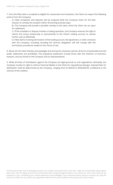7. Once the filed claim is accepted as eligible for assessment and resolution, the Client can expect the following actions from the Company:

A.) Valid complaints and disputes will be analyzed while the Company looks for the best solution to remedy the situation within 30 working business days.

B.) The Company will provide a possible remedy to the claim, which the Client can act upon for settlement.

C.) If the complaint or dispute involves a trading operation, the Company reserves the right to restrict the access temporarily or permanently to the Client's trading account to resolve his/her case as effectively.

D.) Filed claims involving termination of the trading account, the Agreement, or other contracts with the Company, including canceling the services altogether, will still comply with the termination procedures stated on the Terms of Use.

8. Above all, the Client thereby acknowledges that during the resolution period, all forms of potentially harmful public statements are prohibited. The prejudicial statements include those with the intention of extortion, exaction, and any threat to the Company and its representatives.

9. While all kinds of intimidation against the Company are legal grounds to end negotiations ultimately, the Company invokes its right to enforce financial liability to the Client for reputational damage. Imposed fees for defamation shall be determined by the Company, ranging from \$1,000.00 to \$500,000.00, conditional to the severity of the violation.

The financial market and its leveraged products are complex instruments that come with a high risk of potentially losing capital. More than 73% of trading accounts lose investments when using leveraged products. You should not invest more than you are prepared to lose. Considering your market experience and knowledge is very important before using our services. By using the services of VHNX.com, you affirm your agreement with the terms and conditions and accept all the risks involved.